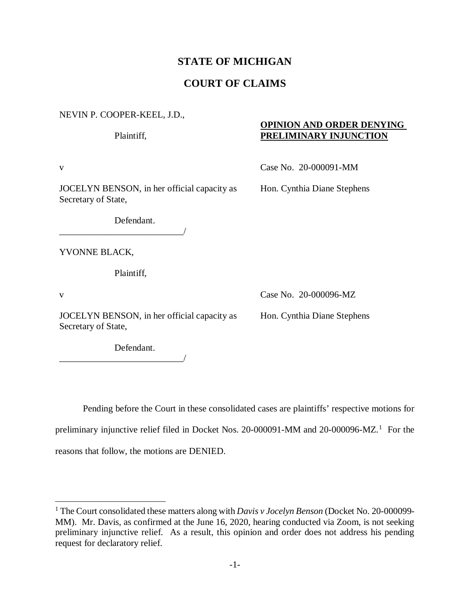# **STATE OF MICHIGAN**

## **COURT OF CLAIMS**

NEVIN P. COOPER-KEEL, J.D.,

Plaintiff,

## **OPINION AND ORDER DENYING PRELIMINARY INJUNCTION**

JOCELYN BENSON, in her official capacity as Secretary of State,

v Case No. 20-000091-MM

Hon. Cynthia Diane Stephens

Defendant.

\_\_\_\_\_\_\_\_\_\_\_\_\_\_\_\_\_\_\_\_\_\_\_\_\_\_\_/

YVONNE BLACK,

Plaintiff,

JOCELYN BENSON, in her official capacity as Secretary of State,

v Case No. 20-000096-MZ

Hon. Cynthia Diane Stephens

Defendant.

\_\_\_\_\_\_\_\_\_\_\_\_\_\_\_\_\_\_\_\_\_\_\_\_\_\_\_/

Pending before the Court in these consolidated cases are plaintiffs' respective motions for preliminary injunctive relief filed in Docket Nos. 20-00009[1](#page-0-0)-MM and 20-000096-MZ.<sup>1</sup> For the reasons that follow, the motions are DENIED.

<span id="page-0-0"></span> <sup>1</sup> The Court consolidated these matters along with *Davis v Jocelyn Benson* (Docket No. 20-000099- MM). Mr. Davis, as confirmed at the June 16, 2020, hearing conducted via Zoom, is not seeking preliminary injunctive relief. As a result, this opinion and order does not address his pending request for declaratory relief.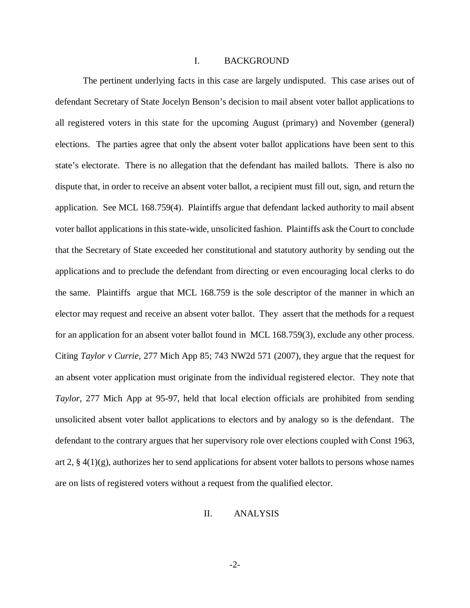### I. BACKGROUND

The pertinent underlying facts in this case are largely undisputed. This case arises out of defendant Secretary of State Jocelyn Benson's decision to mail absent voter ballot applications to all registered voters in this state for the upcoming August (primary) and November (general) elections. The parties agree that only the absent voter ballot applications have been sent to this state's electorate. There is no allegation that the defendant has mailed ballots. There is also no dispute that, in order to receive an absent voter ballot, a recipient must fill out, sign, and return the application. See MCL 168.759(4). Plaintiffs argue that defendant lacked authority to mail absent voter ballot applications in this state-wide, unsolicited fashion. Plaintiffs ask the Court to conclude that the Secretary of State exceeded her constitutional and statutory authority by sending out the applications and to preclude the defendant from directing or even encouraging local clerks to do the same. Plaintiffs argue that MCL 168.759 is the sole descriptor of the manner in which an elector may request and receive an absent voter ballot. They assert that the methods for a request for an application for an absent voter ballot found in MCL 168.759(3), exclude any other process. Citing *Taylor v Currie*, 277 Mich App 85; 743 NW2d 571 (2007), they argue that the request for an absent voter application must originate from the individual registered elector. They note that *Taylor*, 277 Mich App at 95-97, held that local election officials are prohibited from sending unsolicited absent voter ballot applications to electors and by analogy so is the defendant. The defendant to the contrary argues that her supervisory role over elections coupled with Const 1963, art 2, § 4(1)(g), authorizes her to send applications for absent voter ballots to persons whose names are on lists of registered voters without a request from the qualified elector.

#### II. ANALYSIS

-2-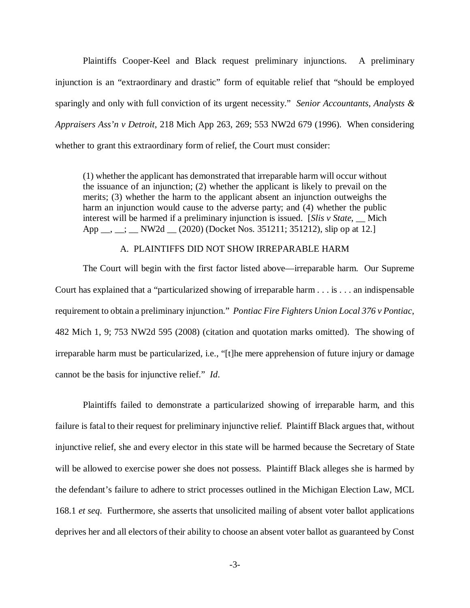Plaintiffs Cooper-Keel and Black request preliminary injunctions. A preliminary injunction is an "extraordinary and drastic" form of equitable relief that "should be employed sparingly and only with full conviction of its urgent necessity." *Senior Accountants, Analysts & Appraisers Ass'n v Detroit*, 218 Mich App 263, 269; 553 NW2d 679 (1996). When considering whether to grant this extraordinary form of relief, the Court must consider:

(1) whether the applicant has demonstrated that irreparable harm will occur without the issuance of an injunction; (2) whether the applicant is likely to prevail on the merits; (3) whether the harm to the applicant absent an injunction outweighs the harm an injunction would cause to the adverse party; and (4) whether the public interest will be harmed if a preliminary injunction is issued. [*Slis v State*, \_\_ Mich App , ; NW2d (2020) (Docket Nos. 351211; 351212), slip op at 12.]

#### A. PLAINTIFFS DID NOT SHOW IRREPARABLE HARM

The Court will begin with the first factor listed above—irreparable harm. Our Supreme Court has explained that a "particularized showing of irreparable harm . . . is . . . an indispensable requirement to obtain a preliminary injunction." *Pontiac Fire Fighters Union Local 376 v Pontiac*, 482 Mich 1, 9; 753 NW2d 595 (2008) (citation and quotation marks omitted). The showing of irreparable harm must be particularized, i.e., "[t]he mere apprehension of future injury or damage cannot be the basis for injunctive relief." *Id*.

Plaintiffs failed to demonstrate a particularized showing of irreparable harm, and this failure is fatal to their request for preliminary injunctive relief. Plaintiff Black argues that, without injunctive relief, she and every elector in this state will be harmed because the Secretary of State will be allowed to exercise power she does not possess. Plaintiff Black alleges she is harmed by the defendant's failure to adhere to strict processes outlined in the Michigan Election Law, MCL 168.1 *et seq*. Furthermore, she asserts that unsolicited mailing of absent voter ballot applications deprives her and all electors of their ability to choose an absent voter ballot as guaranteed by Const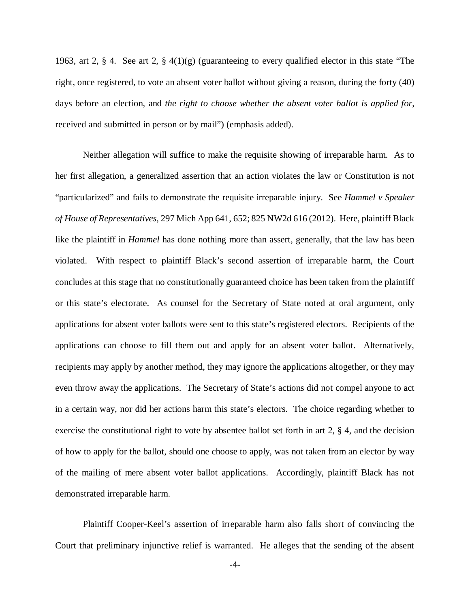1963, art 2, § 4. See art 2, § 4(1)(g) (guaranteeing to every qualified elector in this state "The right, once registered, to vote an absent voter ballot without giving a reason, during the forty (40) days before an election, and *the right to choose whether the absent voter ballot is applied for*, received and submitted in person or by mail") (emphasis added).

Neither allegation will suffice to make the requisite showing of irreparable harm. As to her first allegation, a generalized assertion that an action violates the law or Constitution is not "particularized" and fails to demonstrate the requisite irreparable injury. See *Hammel v Speaker of House of Representatives*, 297 Mich App 641, 652; 825 NW2d 616 (2012). Here, plaintiff Black like the plaintiff in *Hammel* has done nothing more than assert, generally, that the law has been violated. With respect to plaintiff Black's second assertion of irreparable harm, the Court concludes at this stage that no constitutionally guaranteed choice has been taken from the plaintiff or this state's electorate. As counsel for the Secretary of State noted at oral argument, only applications for absent voter ballots were sent to this state's registered electors. Recipients of the applications can choose to fill them out and apply for an absent voter ballot. Alternatively, recipients may apply by another method, they may ignore the applications altogether, or they may even throw away the applications. The Secretary of State's actions did not compel anyone to act in a certain way, nor did her actions harm this state's electors. The choice regarding whether to exercise the constitutional right to vote by absentee ballot set forth in art 2, § 4, and the decision of how to apply for the ballot, should one choose to apply, was not taken from an elector by way of the mailing of mere absent voter ballot applications. Accordingly, plaintiff Black has not demonstrated irreparable harm.

Plaintiff Cooper-Keel's assertion of irreparable harm also falls short of convincing the Court that preliminary injunctive relief is warranted. He alleges that the sending of the absent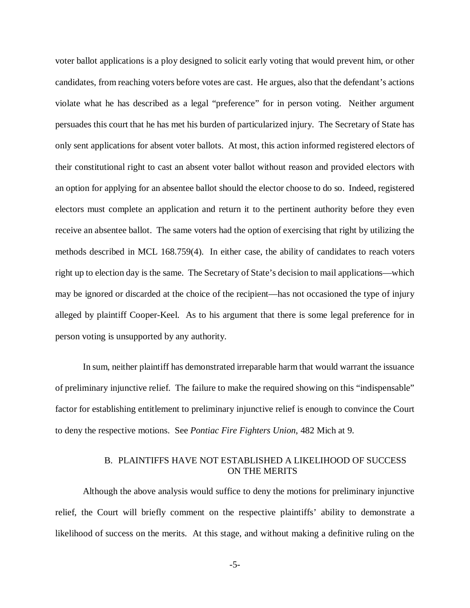voter ballot applications is a ploy designed to solicit early voting that would prevent him, or other candidates, from reaching voters before votes are cast. He argues, also that the defendant's actions violate what he has described as a legal "preference" for in person voting. Neither argument persuades this court that he has met his burden of particularized injury. The Secretary of State has only sent applications for absent voter ballots. At most, this action informed registered electors of their constitutional right to cast an absent voter ballot without reason and provided electors with an option for applying for an absentee ballot should the elector choose to do so. Indeed, registered electors must complete an application and return it to the pertinent authority before they even receive an absentee ballot. The same voters had the option of exercising that right by utilizing the methods described in MCL 168.759(4). In either case, the ability of candidates to reach voters right up to election day is the same. The Secretary of State's decision to mail applications—which may be ignored or discarded at the choice of the recipient—has not occasioned the type of injury alleged by plaintiff Cooper-Keel. As to his argument that there is some legal preference for in person voting is unsupported by any authority.

In sum, neither plaintiff has demonstrated irreparable harm that would warrant the issuance of preliminary injunctive relief. The failure to make the required showing on this "indispensable" factor for establishing entitlement to preliminary injunctive relief is enough to convince the Court to deny the respective motions. See *Pontiac Fire Fighters Union*, 482 Mich at 9.

### B. PLAINTIFFS HAVE NOT ESTABLISHED A LIKELIHOOD OF SUCCESS ON THE MERITS

Although the above analysis would suffice to deny the motions for preliminary injunctive relief, the Court will briefly comment on the respective plaintiffs' ability to demonstrate a likelihood of success on the merits. At this stage, and without making a definitive ruling on the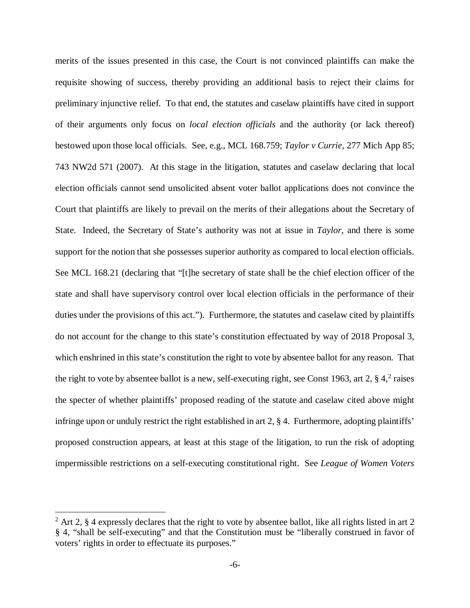merits of the issues presented in this case, the Court is not convinced plaintiffs can make the requisite showing of success, thereby providing an additional basis to reject their claims for preliminary injunctive relief. To that end, the statutes and caselaw plaintiffs have cited in support of their arguments only focus on *local election officials* and the authority (or lack thereof) bestowed upon those local officials. See, e.g., MCL 168.759; *Taylor v Currie*, 277 Mich App 85; 743 NW2d 571 (2007). At this stage in the litigation, statutes and caselaw declaring that local election officials cannot send unsolicited absent voter ballot applications does not convince the Court that plaintiffs are likely to prevail on the merits of their allegations about the Secretary of State. Indeed, the Secretary of State's authority was not at issue in *Taylor*, and there is some support for the notion that she possesses superior authority as compared to local election officials. See MCL 168.21 (declaring that "[t]he secretary of state shall be the chief election officer of the state and shall have supervisory control over local election officials in the performance of their duties under the provisions of this act."). Furthermore, the statutes and caselaw cited by plaintiffs do not account for the change to this state's constitution effectuated by way of 2018 Proposal 3, which enshrined in this state's constitution the right to vote by absentee ballot for any reason. That the right to vote by absentee ballot is a new, self-executing right, see Const 1963, art [2](#page-5-0),  $\S 4$ ,  $2$  raises the specter of whether plaintiffs' proposed reading of the statute and caselaw cited above might infringe upon or unduly restrict the right established in art 2, § 4. Furthermore, adopting plaintiffs' proposed construction appears, at least at this stage of the litigation, to run the risk of adopting impermissible restrictions on a self-executing constitutional right. See *League of Women Voters* 

<span id="page-5-0"></span><sup>&</sup>lt;sup>2</sup> Art 2, § 4 expressly declares that the right to vote by absentee ballot, like all rights listed in art 2 § 4, "shall be self-executing" and that the Constitution must be "liberally construed in favor of voters' rights in order to effectuate its purposes."